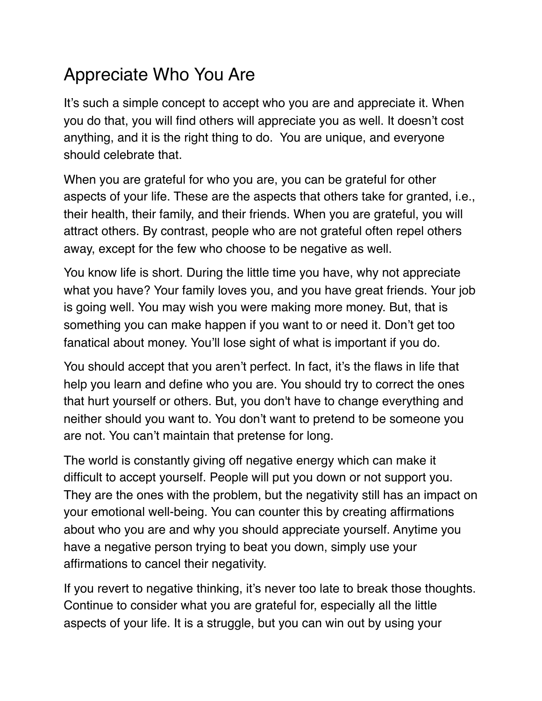## Appreciate Who You Are

It's such a simple concept to accept who you are and appreciate it. When you do that, you will find others will appreciate you as well. It doesn't cost anything, and it is the right thing to do. You are unique, and everyone should celebrate that.

When you are grateful for who you are, you can be grateful for other aspects of your life. These are the aspects that others take for granted, i.e., their health, their family, and their friends. When you are grateful, you will attract others. By contrast, people who are not grateful often repel others away, except for the few who choose to be negative as well.

You know life is short. During the little time you have, why not appreciate what you have? Your family loves you, and you have great friends. Your job is going well. You may wish you were making more money. But, that is something you can make happen if you want to or need it. Don't get too fanatical about money. You'll lose sight of what is important if you do.

You should accept that you aren't perfect. In fact, it's the flaws in life that help you learn and define who you are. You should try to correct the ones that hurt yourself or others. But, you don't have to change everything and neither should you want to. You don't want to pretend to be someone you are not. You can't maintain that pretense for long.

The world is constantly giving off negative energy which can make it difficult to accept yourself. People will put you down or not support you. They are the ones with the problem, but the negativity still has an impact on your emotional well-being. You can counter this by creating affirmations about who you are and why you should appreciate yourself. Anytime you have a negative person trying to beat you down, simply use your affirmations to cancel their negativity.

If you revert to negative thinking, it's never too late to break those thoughts. Continue to consider what you are grateful for, especially all the little aspects of your life. It is a struggle, but you can win out by using your